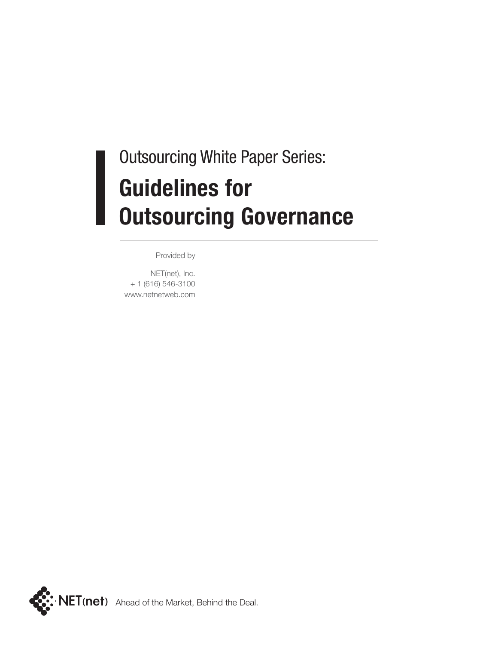# Outsourcing White Paper Series: **Guidelines for Outsourcing Governance**

Provided by

NET(net), Inc. + 1 (616) 546-3100 www.netnetweb.com

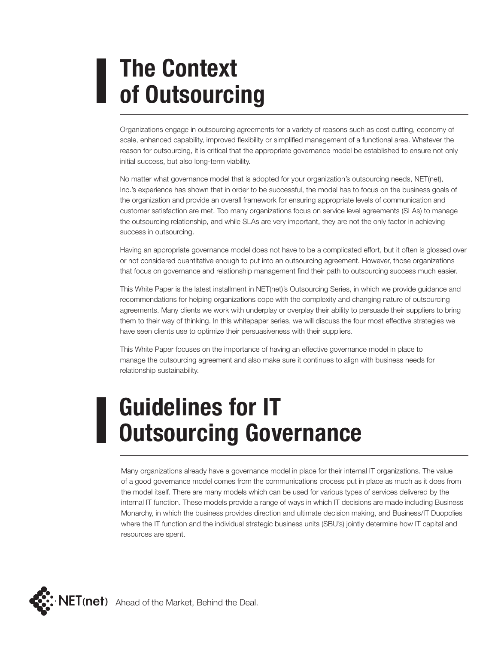# **The Context of Outsourcing**

Organizations engage in outsourcing agreements for a variety of reasons such as cost cutting, economy of scale, enhanced capability, improved flexibility or simplified management of a functional area. Whatever the reason for outsourcing, it is critical that the appropriate governance model be established to ensure not only initial success, but also long-term viability.

No matter what governance model that is adopted for your organization's outsourcing needs, NET(net), Inc.'s experience has shown that in order to be successful, the model has to focus on the business goals of the organization and provide an overall framework for ensuring appropriate levels of communication and customer satisfaction are met. Too many organizations focus on service level agreements (SLAs) to manage the outsourcing relationship, and while SLAs are very important, they are not the only factor in achieving success in outsourcing.

Having an appropriate governance model does not have to be a complicated effort, but it often is glossed over or not considered quantitative enough to put into an outsourcing agreement. However, those organizations that focus on governance and relationship management find their path to outsourcing success much easier.

This White Paper is the latest installment in NET(net)'s Outsourcing Series, in which we provide guidance and recommendations for helping organizations cope with the complexity and changing nature of outsourcing agreements. Many clients we work with underplay or overplay their ability to persuade their suppliers to bring them to their way of thinking. In this whitepaper series, we will discuss the four most effective strategies we have seen clients use to optimize their persuasiveness with their suppliers.

This White Paper focuses on the importance of having an effective governance model in place to manage the outsourcing agreement and also make sure it continues to align with business needs for relationship sustainability.

#### **Guidelines for IT Outsourcing Governance**

Many organizations already have a governance model in place for their internal IT organizations. The value of a good governance model comes from the communications process put in place as much as it does from the model itself. There are many models which can be used for various types of services delivered by the internal IT function. These models provide a range of ways in which IT decisions are made including Business Monarchy, in which the business provides direction and ultimate decision making, and Business/IT Duopolies where the IT function and the individual strategic business units (SBU's) jointly determine how IT capital and resources are spent.

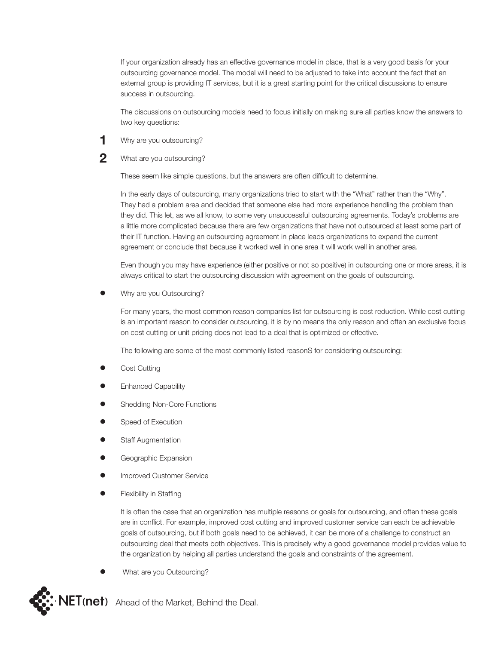If your organization already has an effective governance model in place, that is a very good basis for your outsourcing governance model. The model will need to be adjusted to take into account the fact that an external group is providing IT services, but it is a great starting point for the critical discussions to ensure success in outsourcing.

The discussions on outsourcing models need to focus initially on making sure all parties know the answers to two key questions:

- **1** Why are you outsourcing?
- 2 What are you outsourcing?

These seem like simple questions, but the answers are often difficult to determine.

In the early days of outsourcing, many organizations tried to start with the "What" rather than the "Why". They had a problem area and decided that someone else had more experience handling the problem than they did. This let, as we all know, to some very unsuccessful outsourcing agreements. Today's problems are a little more complicated because there are few organizations that have not outsourced at least some part of their IT function. Having an outsourcing agreement in place leads organizations to expand the current agreement or conclude that because it worked well in one area it will work well in another area.

Even though you may have experience (either positive or not so positive) in outsourcing one or more areas, it is always critical to start the outsourcing discussion with agreement on the goals of outsourcing.

• Why are you Outsourcing?

For many years, the most common reason companies list for outsourcing is cost reduction. While cost cutting is an important reason to consider outsourcing, it is by no means the only reason and often an exclusive focus on cost cutting or unit pricing does not lead to a deal that is optimized or effective.

The following are some of the most commonly listed reasonS for considering outsourcing:

- Cost Cutting
- Enhanced Capability
- Shedding Non-Core Functions
- Speed of Execution
- **Staff Augmentation**
- Geographic Expansion
- Improved Customer Service
- **Flexibility in Staffing**

It is often the case that an organization has multiple reasons or goals for outsourcing, and often these goals are in conflict. For example, improved cost cutting and improved customer service can each be achievable goals of outsourcing, but if both goals need to be achieved, it can be more of a challenge to construct an outsourcing deal that meets both objectives. This is precisely why a good governance model provides value to the organization by helping all parties understand the goals and constraints of the agreement.

• What are you Outsourcing?

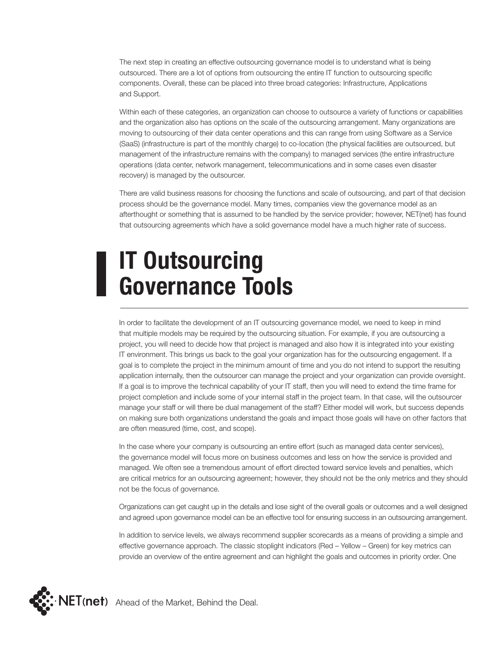The next step in creating an effective outsourcing governance model is to understand what is being outsourced. There are a lot of options from outsourcing the entire IT function to outsourcing specific components. Overall, these can be placed into three broad categories: Infrastructure, Applications and Support.

Within each of these categories, an organization can choose to outsource a variety of functions or capabilities and the organization also has options on the scale of the outsourcing arrangement. Many organizations are moving to outsourcing of their data center operations and this can range from using Software as a Service (SaaS) (infrastructure is part of the monthly charge) to co-location (the physical facilities are outsourced, but management of the infrastructure remains with the company) to managed services (the entire infrastructure operations (data center, network management, telecommunications and in some cases even disaster recovery) is managed by the outsourcer.

There are valid business reasons for choosing the functions and scale of outsourcing, and part of that decision process should be the governance model. Many times, companies view the governance model as an afterthought or something that is assumed to be handled by the service provider; however, NET(net) has found that outsourcing agreements which have a solid governance model have a much higher rate of success.

# **IT Outsourcing Governance Tools**

In order to facilitate the development of an IT outsourcing governance model, we need to keep in mind that multiple models may be required by the outsourcing situation. For example, if you are outsourcing a project, you will need to decide how that project is managed and also how it is integrated into your existing IT environment. This brings us back to the goal your organization has for the outsourcing engagement. If a goal is to complete the project in the minimum amount of time and you do not intend to support the resulting application internally, then the outsourcer can manage the project and your organization can provide oversight. If a goal is to improve the technical capability of your IT staff, then you will need to extend the time frame for project completion and include some of your internal staff in the project team. In that case, will the outsourcer manage your staff or will there be dual management of the staff? Either model will work, but success depends on making sure both organizations understand the goals and impact those goals will have on other factors that are often measured (time, cost, and scope).

In the case where your company is outsourcing an entire effort (such as managed data center services), the governance model will focus more on business outcomes and less on how the service is provided and managed. We often see a tremendous amount of effort directed toward service levels and penalties, which are critical metrics for an outsourcing agreement; however, they should not be the only metrics and they should not be the focus of governance.

Organizations can get caught up in the details and lose sight of the overall goals or outcomes and a well designed and agreed upon governance model can be an effective tool for ensuring success in an outsourcing arrangement.

In addition to service levels, we always recommend supplier scorecards as a means of providing a simple and effective governance approach. The classic stoplight indicators (Red – Yellow – Green) for key metrics can provide an overview of the entire agreement and can highlight the goals and outcomes in priority order. One